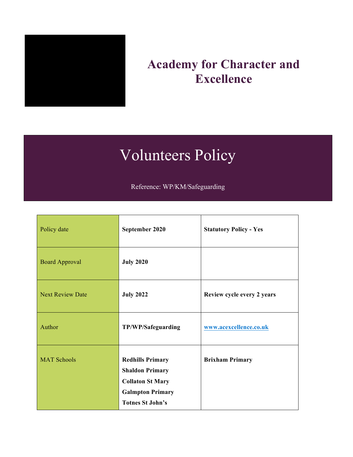

# **Academy for Character and Excellence**

# Volunteers Policy

Reference: WP/KM/Safeguarding

| Policy date             | September 2020                                                                                                                     | <b>Statutory Policy - Yes</b> |  |
|-------------------------|------------------------------------------------------------------------------------------------------------------------------------|-------------------------------|--|
| <b>Board Approval</b>   | <b>July 2020</b>                                                                                                                   |                               |  |
| <b>Next Review Date</b> | <b>July 2022</b>                                                                                                                   | Review cycle every 2 years    |  |
| Author                  | TP/WP/Safeguarding                                                                                                                 | www.acexcellence.co.uk        |  |
| <b>MAT Schools</b>      | <b>Redhills Primary</b><br><b>Shaldon Primary</b><br><b>Collaton St Mary</b><br><b>Galmpton Primary</b><br><b>Totnes St John's</b> | <b>Brixham Primary</b>        |  |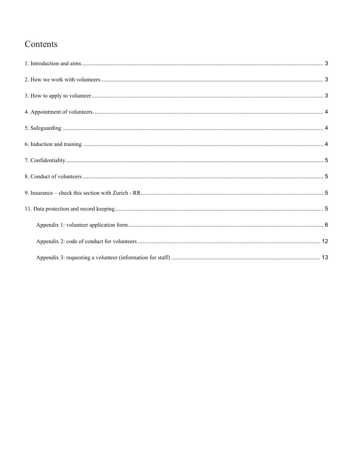# Contents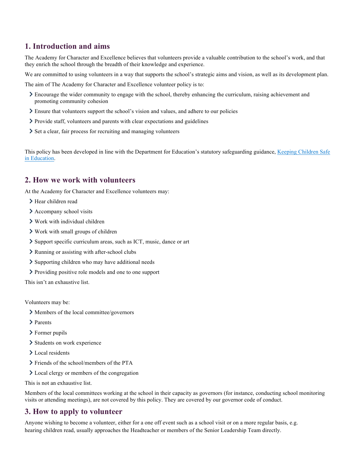# <span id="page-2-0"></span>**1. Introduction and aims**

The Academy for Character and Excellence believes that volunteers provide a valuable contribution to the school's work, and that they enrich the school through the breadth of their knowledge and experience.

We are committed to using volunteers in a way that supports the school's strategic aims and vision, as well as its development plan.

The aim of The Academy for Character and Excellence volunteer policy is to:

- Encourage the wider community to engage with the school, thereby enhancing the curriculum, raising achievement and promoting community cohesion
- Ensure that volunteers support the school's vision and values, and adhere to our policies
- Provide staff, volunteers and parents with clear expectations and guidelines
- Set a clear, fair process for recruiting and managing volunteers

This policy has been developed in line with the Department for Education's statutory safeguarding guidance, Keeping Children Safe in Education.

# <span id="page-2-1"></span>**2. How we work with volunteers**

At the Academy for Character and Excellence volunteers may:

- > Hear children read
- > Accompany school visits
- $\sum$  Work with individual children
- Work with small groups of children
- Support specific curriculum areas, such as ICT, music, dance or art
- Running or assisting with after-school clubs
- $\sum$  Supporting children who may have additional needs
- Providing positive role models and one to one support

This isn't an exhaustive list.

Volunteers may be:

- Members of the local committee/governors
- > Parents
- > Former pupils
- > Students on work experience
- > Local residents
- > Friends of the school/members of the PTA
- **Local clergy or members of the congregation**

This is not an exhaustive list.

Members of the local committees working at the school in their capacity as governors (for instance, conducting school monitoring visits or attending meetings), are not covered by this policy. They are covered by our governor code of conduct.

# <span id="page-2-2"></span>**3. How to apply to volunteer**

Anyone wishing to become a volunteer, either for a one off event such as a school visit or on a more regular basis, e.g. hearing children read, usually approaches the Headteacher or members of the Senior Leadership Team directly.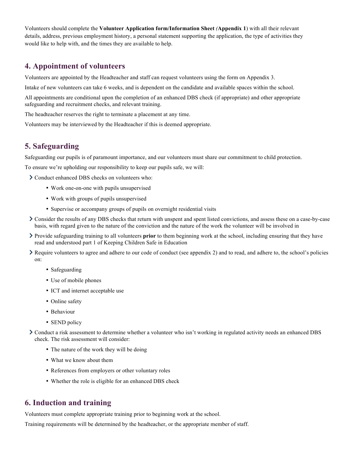Volunteers should complete the **Volunteer Application form/Information Sheet** *(***Appendix 1**) with all their relevant details, address, previous employment history, a personal statement supporting the application, the type of activities they would like to help with, and the times they are available to help.

# **4. Appointment of volunteers**

Volunteers are appointed by the Headteacher and staff can request volunteers using the form on Appendix 3.

<span id="page-3-0"></span>Intake of new volunteers can take 6 weeks, and is dependent on the candidate and available spaces within the school.

All appointments are conditional upon the completion of an enhanced DBS check (if appropriate) and other appropriate safeguarding and recruitment checks, and relevant training.

The headteacher reserves the right to terminate a placement at any time.

Volunteers may be interviewed by the Headteacher if this is deemed appropriate.

### **5. Safeguarding**

<span id="page-3-1"></span>Safeguarding our pupils is of paramount importance, and our volunteers must share our commitment to child protection.

To ensure we're upholding our responsibility to keep our pupils safe, we will:

- Conduct enhanced DBS checks on volunteers who:
	- Work one-on-one with pupils unsupervised
	- Work with groups of pupils unsupervised
	- Supervise or accompany groups of pupils on overnight residential visits
- Consider the results of any DBS checks that return with unspent and spent listed convictions, and assess these on a case-by-case basis, with regard given to the nature of the conviction and the nature of the work the volunteer will be involved in
- Provide safeguarding training to all volunteers **prior** to them beginning work at the school, including ensuring that they have read and understood part 1 of Keeping Children Safe in Education
- Require volunteers to agree and adhere to our code of conduct (see appendix 2) and to read, and adhere to, the school's policies on:
	- Safeguarding
	- Use of mobile phones
	- ICT and internet acceptable use
	- Online safety
	- Behaviour
	- SEND policy

Conduct a risk assessment to determine whether a volunteer who isn't working in regulated activity needs an enhanced DBS check. The risk assessment will consider:

- The nature of the work they will be doing
- What we know about them
- References from employers or other voluntary roles
- Whether the role is eligible for an enhanced DBS check

### **6. Induction and training**

<span id="page-3-2"></span>Volunteers must complete appropriate training prior to beginning work at the school.

Training requirements will be determined by the headteacher, or the appropriate member of staff.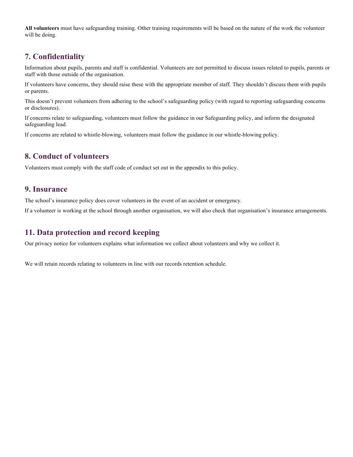**All volunteers** must have safeguarding training. Other training requirements will be based on the nature of the work the volunteer will be doing.

# **7. Confidentiality**

<span id="page-4-0"></span>Information about pupils, parents and staff is confidential. Volunteers are not permitted to discuss issues related to pupils, parents or staff with those outside of the organisation.

If volunteers have concerns, they should raise these with the appropriate member of staff. They shouldn't discuss them with pupils or parents.

This doesn't prevent volunteers from adhering to the school's safeguarding policy (with regard to reporting safeguarding concerns or disclosures).

If concerns relate to safeguarding, volunteers must follow the guidance in our Safeguarding policy, and inform the designated safeguarding lead.

If concerns are related to whistle-blowing, volunteers must follow the guidance in our whistle-blowing policy.

# **8. Conduct of volunteers**

<span id="page-4-1"></span>Volunteers must comply with the staff code of conduct set out in the appendix to this policy.

# **9. Insurance**

The school's insurance policy does cover volunteers in the event of an accident or emergency.

<span id="page-4-2"></span>If a volunteer is working at the school through another organisation, we will also check that organisation's insurance arrangements.

# **11. Data protection and record keeping**

<span id="page-4-3"></span>Our privacy notice for volunteers explains what information we collect about volunteers and why we collect it.

We will retain records relating to volunteers in line with our records retention schedule.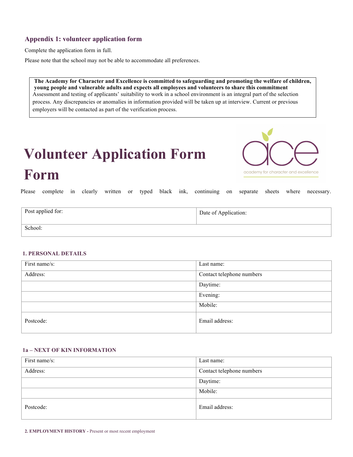### <span id="page-5-0"></span>**Appendix 1: volunteer application form**

Complete the application form in full.

Please note that the school may not be able to accommodate all preferences.

**The Academy for Character and Excellence is committed to safeguarding and promoting the welfare of children, young people and vulnerable adults and expects all employees and volunteers to share this commitment** Assessment and testing of applicants' suitability to work in a school environment is an integral part of the selection process. Any discrepancies or anomalies in information provided will be taken up at interview. Current or previous employers will be contacted as part of the verification process.

# **Volunteer Application Form Form**



Please complete in clearly written or typed black ink, continuing on separate sheets where necessary.

| Post applied for: | Date of Application: |
|-------------------|----------------------|
| School:           |                      |

#### **1. PERSONAL DETAILS**

| First name/s: | Last name:                |
|---------------|---------------------------|
| Address:      | Contact telephone numbers |
|               | Daytime:                  |
|               | Evening:                  |
|               | Mobile:                   |
| Postcode:     | Email address:            |

#### **1a – NEXT OF KIN INFORMATION**

| First name/s: | Last name:                |  |
|---------------|---------------------------|--|
| Address:      | Contact telephone numbers |  |
|               | Daytime:                  |  |
|               | Mobile:                   |  |
| Postcode:     | Email address:            |  |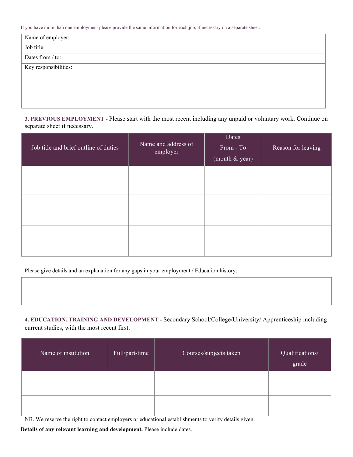If you have more than one employment please provide the same information for each job, if necessary on a separate sheet.

| Name of employer:     |  |
|-----------------------|--|
| Job title:            |  |
| Dates from / to:      |  |
| Key responsibilities: |  |
|                       |  |
|                       |  |
|                       |  |

**3. PREVIOUS EMPLOYMENT -** Please start with the most recent including any unpaid or voluntary work. Continue on separate sheet if necessary.

| Job title and brief outline of duties | Name and address of<br>employer | Dates<br>From - To<br>(month $&$ year) | Reason for leaving |
|---------------------------------------|---------------------------------|----------------------------------------|--------------------|
|                                       |                                 |                                        |                    |
|                                       |                                 |                                        |                    |
|                                       |                                 |                                        |                    |

Please give details and an explanation for any gaps in your employment / Education history:

**4. EDUCATION, TRAINING AND DEVELOPMENT -** Secondary School/College/University/ Apprenticeship including current studies, with the most recent first.

| Name of institution | Full/part-time | Courses/subjects taken | Qualifications/<br>grade |
|---------------------|----------------|------------------------|--------------------------|
|                     |                |                        |                          |
|                     |                |                        |                          |

NB. We reserve the right to contact employers or educational establishments to verify details given.

**Details of any relevant learning and development.** Please include dates.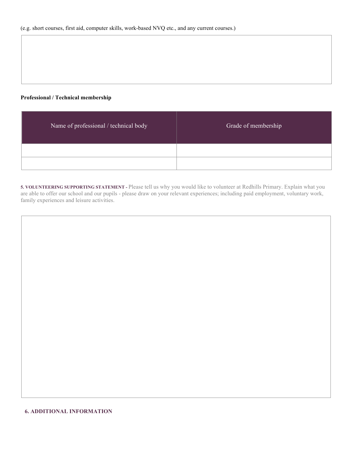#### **Professional / Technical membership**

| Name of professional / technical body | Grade of membership |  |  |
|---------------------------------------|---------------------|--|--|
|                                       |                     |  |  |
|                                       |                     |  |  |

**5. VOLUNTEERING SUPPORTING STATEMENT -** Please tell us why you would like to volunteer at Redhills Primary. Explain what you are able to offer our school and our pupils - please draw on your relevant experiences; including paid employment, voluntary work, family experiences and leisure activities.

#### **6. ADDITIONAL INFORMATION**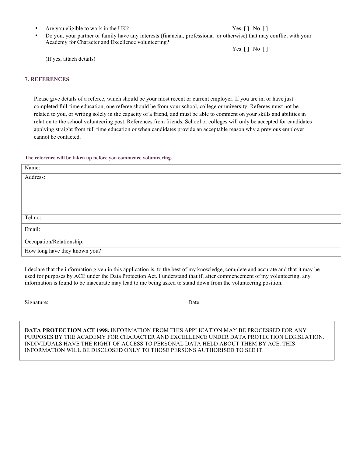• Are you eligible to work in the UK? Yes [ ] No [ ]

• Do you, your partner or family have any interests (financial, professional or otherwise) that may conflict with your Academy for Character and Excellence volunteering?

Yes [ ] No [ ]

(If yes, attach details)

#### **7. REFERENCES**

Please give details of a referee, which should be your most recent or current employer. If you are in, or have just completed full-time education, one referee should be from your school, college or university. Referees must not be related to you, or writing solely in the capacity of a friend, and must be able to comment on your skills and abilities in relation to the school volunteering post. References from friends, School or colleges will only be accepted for candidates applying straight from full time education or when candidates provide an acceptable reason why a previous employer cannot be contacted.

#### **The reference will be taken up before you commence volunteering.**

| Name:                         |
|-------------------------------|
| Address:                      |
|                               |
|                               |
|                               |
|                               |
| Tel no:                       |
| Email:                        |
|                               |
| Occupation/Relationship:      |
| How long have they known you? |

I declare that the information given in this application is, to the best of my knowledge, complete and accurate and that it may be used for purposes by ACE under the Data Protection Act. I understand that if, after commencement of my volunteering, any information is found to be inaccurate may lead to me being asked to stand down from the volunteering position.

Signature: Date:

**DATA PROTECTION ACT 1998.** INFORMATION FROM THIS APPLICATION MAY BE PROCESSED FOR ANY PURPOSES BY THE ACADEMY FOR CHARACTER AND EXCELLENCE UNDER DATA PROTECTION LEGISLATION. INDIVIDUALS HAVE THE RIGHT OF ACCESS TO PERSONAL DATA HELD ABOUT THEM BY ACE. THIS INFORMATION WILL BE DISCLOSED ONLY TO THOSE PERSONS AUTHORISED TO SEE IT.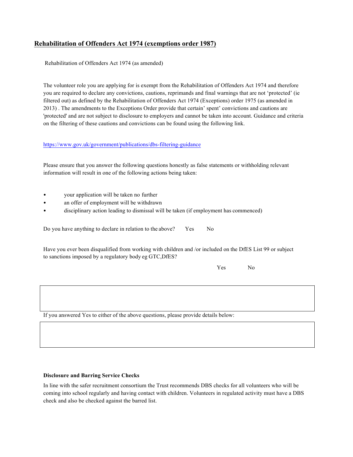#### **Rehabilitation of Offenders Act 1974 (exemptions order 1987)**

Rehabilitation of Offenders Act 1974 (as amended)

The volunteer role you are applying for is exempt from the Rehabilitation of Offenders Act 1974 and therefore you are required to declare any convictions, cautions, reprimands and final warnings that are not 'protected' (ie filtered out) as defined by the Rehabilitation of Offenders Act 1974 (Exceptions) order 1975 (as amended in 2013) . The amendments to the Exceptions Order provide that certain' spent' convictions and cautions are 'protected' and are not subject to disclosure to employers and cannot be taken into account. Guidance and criteria on the filtering of these cautions and convictions can be found using the following link.

<https://www.gov.uk/government/publications/dbs-filtering-guidance>

Please ensure that you answer the following questions honestly as false statements or withholding relevant information will result in one of the following actions being taken:

- your application will be taken no further
- an offer of employment will be withdrawn
- disciplinary action leading to dismissal will be taken (if employment has commenced)

Do you have anything to declare in relation to the above? Yes No

Have you ever been disqualified from working with children and /or included on the DfES List 99 or subject to sanctions imposed by a regulatory body eg GTC,DfES?

Yes No

If you answered Yes to either of the above questions, please provide details below:

#### **Disclosure and Barring Service Checks**

In line with the safer recruitment consortium the Trust recommends DBS checks for all volunteers who will be coming into school regularly and having contact with children. Volunteers in regulated activity must have a DBS check and also be checked against the barred list.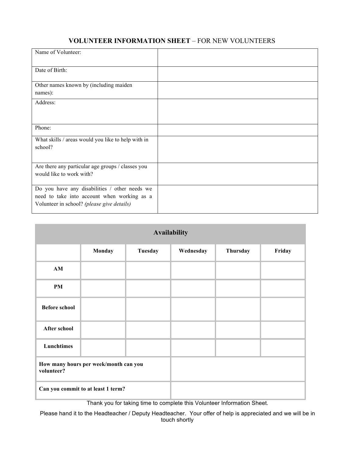# **VOLUNTEER INFORMATION SHEET** – FOR NEW VOLUNTEERS

| Name of Volunteer:                                                                                                                         |  |
|--------------------------------------------------------------------------------------------------------------------------------------------|--|
| Date of Birth:                                                                                                                             |  |
| Other names known by (including maiden<br>names):                                                                                          |  |
| Address:                                                                                                                                   |  |
| Phone:                                                                                                                                     |  |
| What skills / areas would you like to help with in<br>school?                                                                              |  |
| Are there any particular age groups / classes you<br>would like to work with?                                                              |  |
| Do you have any disabilities / other needs we<br>need to take into account when working as a<br>Volunteer in school? (please give details) |  |

| <b>Availability</b>                                 |        |         |           |          |        |
|-----------------------------------------------------|--------|---------|-----------|----------|--------|
|                                                     | Monday | Tuesday | Wednesday | Thursday | Friday |
| $AM$                                                |        |         |           |          |        |
| <b>PM</b>                                           |        |         |           |          |        |
| <b>Before school</b>                                |        |         |           |          |        |
| After school                                        |        |         |           |          |        |
| Lunchtimes                                          |        |         |           |          |        |
| How many hours per week/month can you<br>volunteer? |        |         |           |          |        |
| Can you commit to at least 1 term?                  |        |         |           |          |        |

Thank you for taking time to complete this Volunteer Information Sheet.

Please hand it to the Headteacher / Deputy Headteacher. Your offer of help is appreciated and we will be in touch shortly.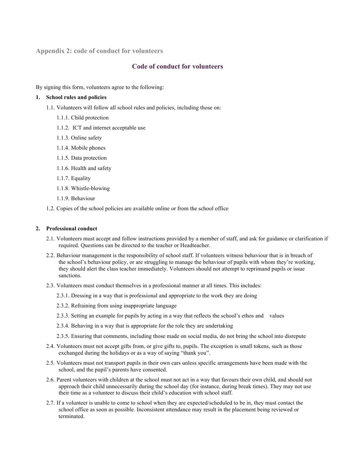<span id="page-11-0"></span>**Appendix 2: code of conduct for volunteers**

#### **Code of conduct for volunteers**

By signing this form, volunteers agree to the following:

#### **1. School rules and policies**

- 1.1. Volunteers will follow all school rules and policies, including those on:
	- 1.1.1. Child protection
	- 1.1.2. ICT and internet acceptable use
	- 1.1.3. Online safety
	- 1.1.4. Mobile phones
	- 1.1.5. Data protection
	- 1.1.6. Health and safety
	- 1.1.7. Equality
	- 1.1.8. Whistle-blowing
	- 1.1.9. Behaviour
- 1.2. Copies of the school policies are available online or from the school office

#### **2. Professional conduct**

- 2.1. Volunteers must accept and follow instructions provided by a member of staff, and ask for guidance or clarification if required. Questions can be directed to the teacher or Headteacher.
- 2.2. Behaviour management is the responsibility of school staff. If volunteers witness behaviour that is in breach of the school's behaviour policy, or are struggling to manage the behaviour of pupils with whom they're working, they should alert the class teacher immediately. Volunteers should not attempt to reprimand pupils or issue sanctions.
- 2.3. Volunteers must conduct themselves in a professional manner at all times. This includes:
	- 2.3.1. Dressing in a way that is professional and appropriate to the work they are doing
	- 2.3.2. Refraining from using inappropriate language
	- 2.3.3. Setting an example for pupils by acting in a way that reflects the school's ethos and values
	- 2.3.4. Behaving in a way that is appropriate for the role they are undertaking
	- 2.3.5. Ensuring that comments, including those made on social media, do not bring the school into disrepute
- 2.4. Volunteers must not accept gifts from, or give gifts to, pupils. The exception is small tokens, such as those exchanged during the holidays or as a way of saying "thank you".
- 2.5. Volunteers must not transport pupils in their own cars unless specific arrangements have been made with the school, and the pupil's parents have consented.
- 2.6. Parent volunteers with children at the school must not act in a way that favours their own child, and should not approach their child unnecessarily during the school day (for instance, during break times). They may not use their time as a volunteer to discuss their child's education with school staff.
- 2.7. If a volunteer is unable to come to school when they are expected/scheduled to be in, they must contact the school office as soon as possible. Inconsistent attendance may result in the placement being reviewed or terminated.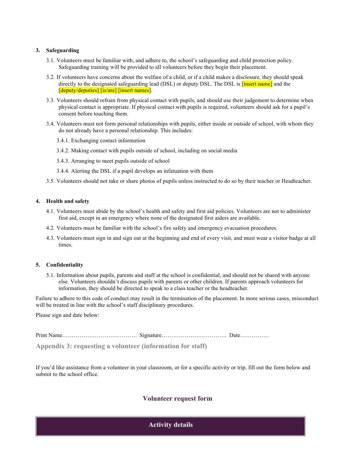#### **3. Safeguarding**

- 3.1. Volunteers must be familiar with, and adhere to, the school's safeguarding and child protection policy. Safeguarding training will be provided to all volunteers before they begin their placement.
- 3.2. If volunteers have concerns about the welfare of a child, or if a child makes a disclosure, they should speak directly to the designated safeguarding lead (DSL) or deputy DSL. The DSL is **[insert name]** and the [deputy/deputies] [is/are] [insert names].
- 3.3. Volunteers should refrain from physical contact with pupils, and should use their judgement to determine when physical contact is appropriate. If physical contact with pupils is required, volunteers should ask for a pupil's consent before touching them.
- 3.4. Volunteers must not form personal relationships with pupils, either inside or outside of school, with whom they do not already have a personal relationship. This includes:
	- 3.4.1. Exchanging contact information
	- 3.4.2. Making contact with pupils outside of school, including on social media
	- 3.4.3. Arranging to meet pupils outside of school
	- 3.4.4. Alerting the DSL if a pupil develops an infatuation with them
- 3.5. Volunteers should not take or share photos of pupils unless instructed to do so by their teacher or Headteacher.

#### **4. Health and safety**

- 4.1. Volunteers must abide by the school's health and safety and first aid policies. Volunteers are not to administer first aid, except in an emergency where none of the designated first aiders are available.
- 4.2. Volunteers must be familiar with the school's fire safety and emergency evacuation procedures.
- 4.3. Volunteers must sign in and sign out at the beginning and end of every visit, and must wear a visitor badge at all times.

#### **5. Confidentiality**

5.1. Information about pupils, parents and staff at the school is confidential, and should not be shared with anyone else. Volunteers shouldn't discuss pupils with parents or other children. If parents approach volunteers for information, they should be directed to speak to a class teacher or the headteacher.

Failure to adhere to this code of conduct may result in the termination of the placement. In more serious cases, misconduct will be treated in line with the school's staff disciplinary procedures.

Please sign and date below:

<span id="page-12-0"></span>Print Name………………………………… Signature……………………………. Date…………… **Appendix 3: requesting a volunteer (information for staff)**

If you'd like assistance from a volunteer in your classroom, or for a specific activity or trip, fill out the form below and submit to the school office.

### **Volunteer request form**

**Activity details**